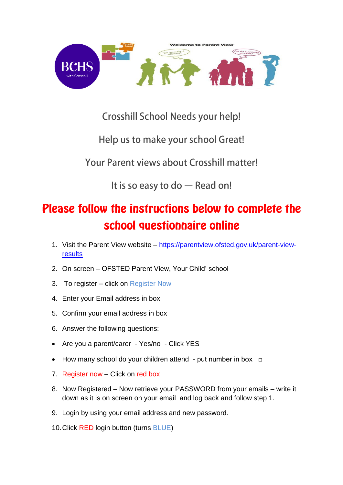

## **Crosshill School Needs your help!**

Help us to make your school Great!

Your Parent views about Crosshill matter!

It is so easy to do - Read on!

# Please follow the instructions below to complete the school questionnaire online

- 1. Visit the Parent View website [https://parentview.ofsted.gov.uk/parent-view](https://parentview.ofsted.gov.uk/parent-view-results)[results](https://parentview.ofsted.gov.uk/parent-view-results)
- 2. On screen OFSTED Parent View, Your Child' school
- 3. To register click on Register Now
- 4. Enter your Email address in box
- 5. Confirm your email address in box
- 6. Answer the following questions:
- Are you a parent/carer Yes/no Click YES
- How many school do your children attend put number in box  $\Box$
- 7. Register now Click on red box
- 8. Now Registered Now retrieve your PASSWORD from your emails write it down as it is on screen on your email and log back and follow step 1.
- 9. Login by using your email address and new password.
- 10.Click RED login button (turns BLUE)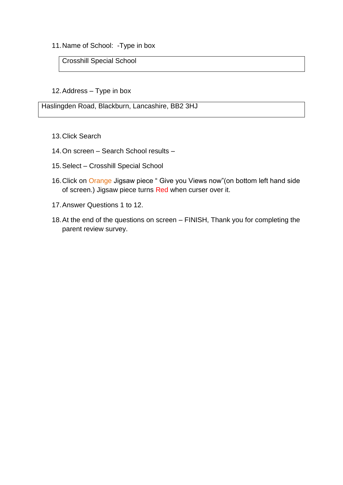11.Name of School: -Type in box

Crosshill Special School

#### 12.Address – Type in box

Haslingden Road, Blackburn, Lancashire, BB2 3HJ

- 13.Click Search
- 14.On screen Search School results –
- 15.Select Crosshill Special School
- 16.Click on Orange Jigsaw piece " Give you Views now"(on bottom left hand side of screen.) Jigsaw piece turns Red when curser over it.
- 17.Answer Questions 1 to 12.
- 18.At the end of the questions on screen FINISH, Thank you for completing the parent review survey.